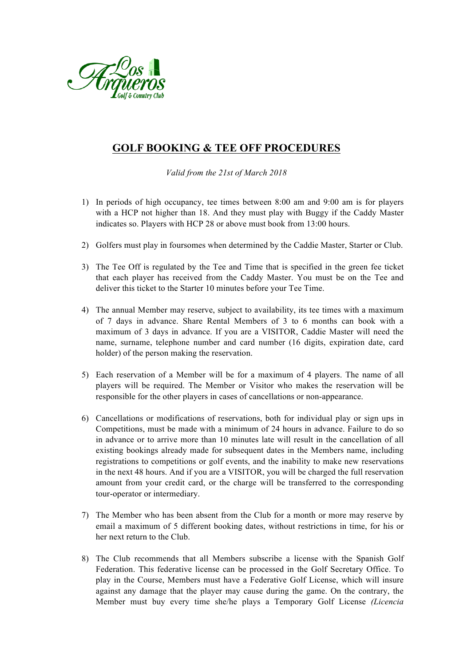

## **GOLF BOOKING & TEE OFF PROCEDURES**

*Valid from the 21st of March 2018*

- 1) In periods of high occupancy, tee times between 8:00 am and 9:00 am is for players with a HCP not higher than 18. And they must play with Buggy if the Caddy Master indicates so. Players with HCP 28 or above must book from 13:00 hours.
- 2) Golfers must play in foursomes when determined by the Caddie Master, Starter or Club.
- 3) The Tee Off is regulated by the Tee and Time that is specified in the green fee ticket that each player has received from the Caddy Master. You must be on the Tee and deliver this ticket to the Starter 10 minutes before your Tee Time.
- 4) The annual Member may reserve, subject to availability, its tee times with a maximum of 7 days in advance. Share Rental Members of 3 to 6 months can book with a maximum of 3 days in advance. If you are a VISITOR, Caddie Master will need the name, surname, telephone number and card number (16 digits, expiration date, card holder) of the person making the reservation.
- 5) Each reservation of a Member will be for a maximum of 4 players. The name of all players will be required. The Member or Visitor who makes the reservation will be responsible for the other players in cases of cancellations or non-appearance.
- 6) Cancellations or modifications of reservations, both for individual play or sign ups in Competitions, must be made with a minimum of 24 hours in advance. Failure to do so in advance or to arrive more than 10 minutes late will result in the cancellation of all existing bookings already made for subsequent dates in the Members name, including registrations to competitions or golf events, and the inability to make new reservations in the next 48 hours. And if you are a VISITOR, you will be charged the full reservation amount from your credit card, or the charge will be transferred to the corresponding tour-operator or intermediary.
- 7) The Member who has been absent from the Club for a month or more may reserve by email a maximum of 5 different booking dates, without restrictions in time, for his or her next return to the Club.
- 8) The Club recommends that all Members subscribe a license with the Spanish Golf Federation. This federative license can be processed in the Golf Secretary Office. To play in the Course, Members must have a Federative Golf License, which will insure against any damage that the player may cause during the game. On the contrary, the Member must buy every time she/he plays a Temporary Golf License *(Licencia*